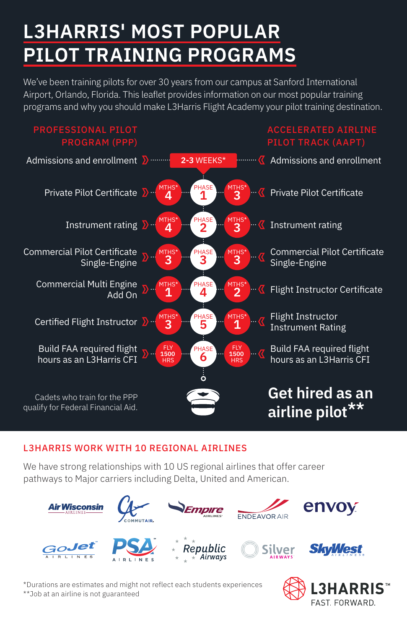# **L3HARRIS' MOST POPULAR PILOT TRAINING PROGRAMS**

We've been training pilots for over 30 years from our campus at Sanford International Airport, Orlando, Florida. This leaflet provides information on our most popular training programs and why you should make L3Harris Flight Academy your pilot training destination.



#### L3HARRIS WORK WITH 10 REGIONAL AIRLINES

We have strong relationships with 10 US regional airlines that offer career pathways to Major carriers including Delta, United and American.



\*Durations are estimates and might not reflect each students experiences \*\*Job at an airline is not guaranteed